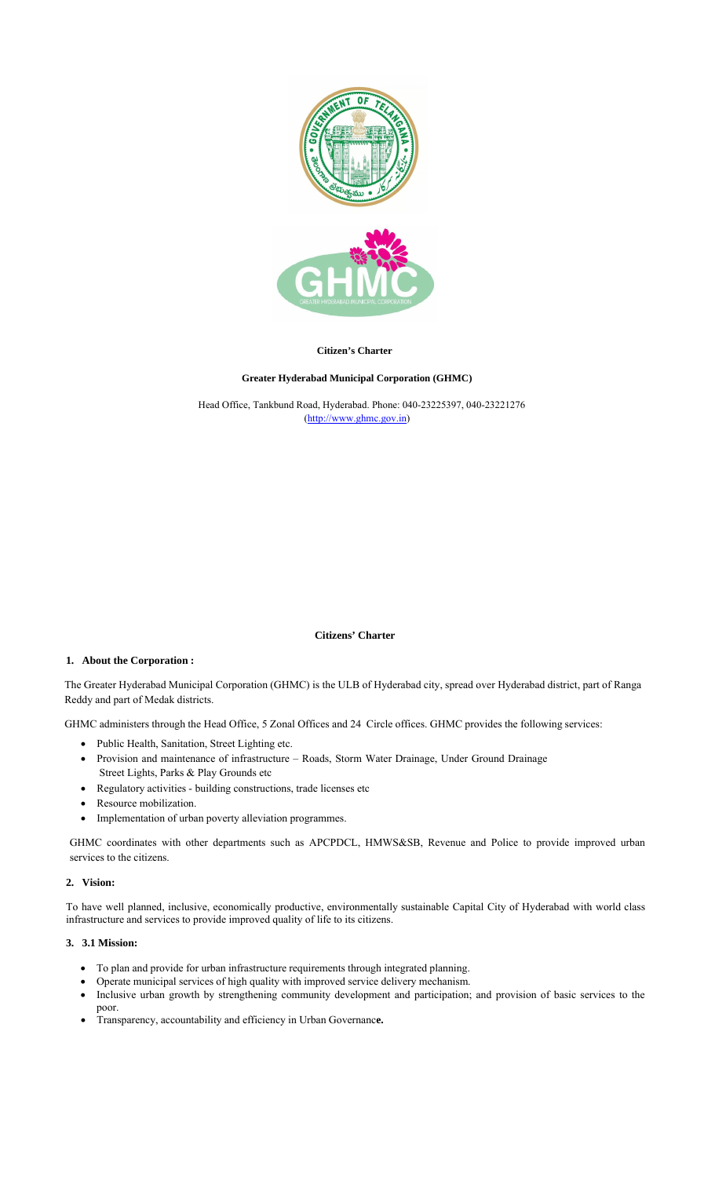

## **Citizen's Charter**

### **Greater Hyderabad Municipal Corporation (GHMC)**

(http://www.ghmc.gov.in) Head Office, Tankbund Road, Hyderabad. Phone: 040-23225397, 040-23221276

#### **Citizens' Charter**

### **1. About the Corporation :**

The Greater Hyderabad Municipal Corporation (GHMC) is the ULB of Hyderabad city, spread over Hyderabad district, part of Ranga Reddy and part of Medak districts.

GHMC administers through the Head Office, 5 Zonal Offices and 24 Circle offices. GHMC provides the following services:

- Public Health, Sanitation, Street Lighting etc.
- Street Lights, Parks & Play Grounds etc Provision and maintenance of infrastructure – Roads, Storm Water Drainage, Under Ground Drainage
- Regulatory activities building constructions, trade licenses etc
- Resource mobilization.
- Implementation of urban poverty alleviation programmes.

GHMC coordinates with other departments such as APCPDCL, HMWS&SB, Revenue and Police to provide improved urban services to the citizens.

#### **2. Vision:**

To have well planned, inclusive, economically productive, environmentally sustainable Capital City of Hyderabad with world class infrastructure and services to provide improved quality of life to its citizens.

# **3. 3.1 Mission:**

- To plan and provide for urban infrastructure requirements through integrated planning.
- Operate municipal services of high quality with improved service delivery mechanism.
- Inclusive urban growth by strengthening community development and participation; and provision of basic services to the poor.
- Transparency, accountability and efficiency in Urban Governanc**e.**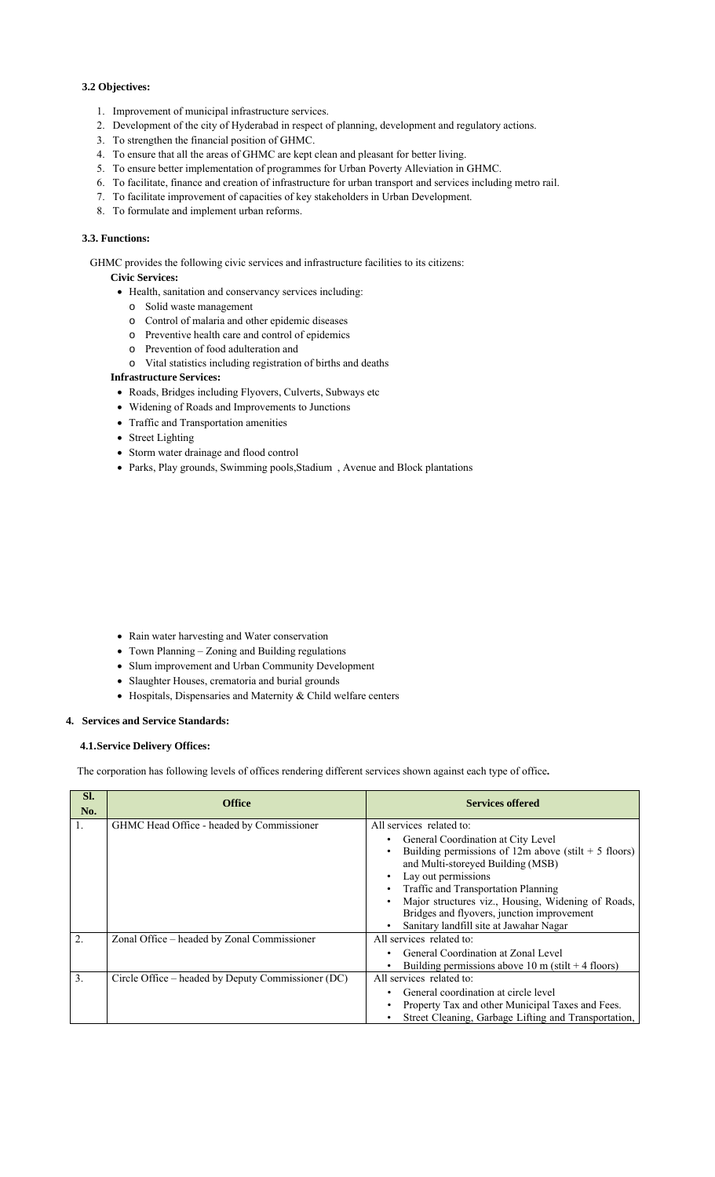## **3.2 Objectives:**

- 1. Improvement of municipal infrastructure services.
- 2. Development of the city of Hyderabad in respect of planning, development and regulatory actions.
- 3. To strengthen the financial position of GHMC.
- 4. To ensure that all the areas of GHMC are kept clean and pleasant for better living.
- 5. To ensure better implementation of programmes for Urban Poverty Alleviation in GHMC.
- 6. To facilitate, finance and creation of infrastructure for urban transport and services including metro rail.
- 7. To facilitate improvement of capacities of key stakeholders in Urban Development.
- 8. To formulate and implement urban reforms.

# **3.3. Functions:**

GHMC provides the following civic services and infrastructure facilities to its citizens:

## **Civic Services:**

- Health, sanitation and conservancy services including:
- o Solid waste management
- o Control of malaria and other epidemic diseases
- o Preventive health care and control of epidemics
- o Prevention of food adulteration and
- o Vital statistics including registration of births and deaths

## **Infrastructure Services:**

- Roads, Bridges including Flyovers, Culverts, Subways etc
- Widening of Roads and Improvements to Junctions
- Traffic and Transportation amenities
- Street Lighting
- Storm water drainage and flood control
- Parks, Play grounds, Swimming pools,Stadium , Avenue and Block plantations

- Rain water harvesting and Water conservation
- Town Planning Zoning and Building regulations
- Slum improvement and Urban Community Development
- Slaughter Houses, crematoria and burial grounds
- Hospitals, Dispensaries and Maternity & Child welfare centers

#### **4. Services and Service Standards:**

## **4.1.Service Delivery Offices:**

The corporation has following levels of offices rendering different services shown against each type of office**.**

| SI.<br>No.       | <b>Office</b>                                      | <b>Services offered</b>                                                                                                                                                                                                                                                                                                                                                    |
|------------------|----------------------------------------------------|----------------------------------------------------------------------------------------------------------------------------------------------------------------------------------------------------------------------------------------------------------------------------------------------------------------------------------------------------------------------------|
| 1.               | GHMC Head Office - headed by Commissioner          | All services related to:<br>General Coordination at City Level<br>Building permissions of $12m$ above (stilt + 5 floors)<br>and Multi-storeyed Building (MSB)<br>Lay out permissions<br>Traffic and Transportation Planning<br>Major structures viz., Housing, Widening of Roads,<br>Bridges and flyovers, junction improvement<br>Sanitary landfill site at Jawahar Nagar |
| $\overline{2}$ . | Zonal Office – headed by Zonal Commissioner        | All services related to:<br>General Coordination at Zonal Level<br>Building permissions above 10 m (stilt $+$ 4 floors)                                                                                                                                                                                                                                                    |
| 3.               | Circle Office – headed by Deputy Commissioner (DC) | All services related to:<br>General coordination at circle level<br>Property Tax and other Municipal Taxes and Fees.<br>Street Cleaning, Garbage Lifting and Transportation,                                                                                                                                                                                               |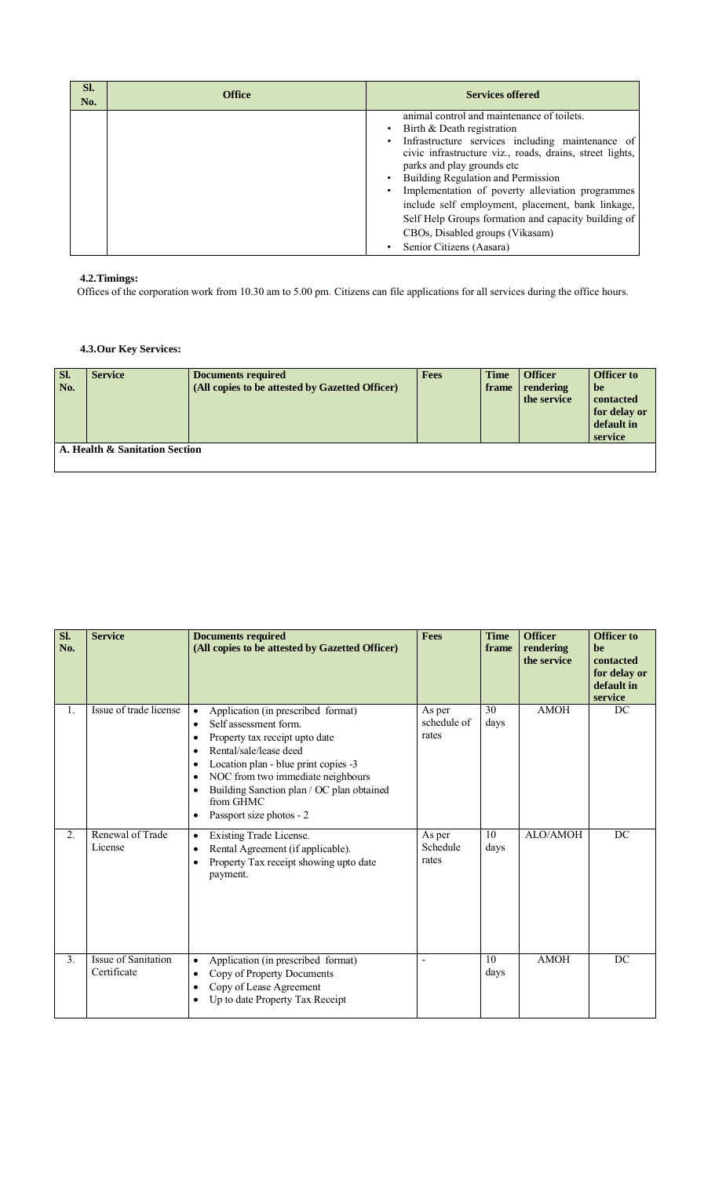| Sl.<br>No. | <b>Office</b> | <b>Services offered</b>                                                                                                                                                                                                                                                                                                                                                                                                      |
|------------|---------------|------------------------------------------------------------------------------------------------------------------------------------------------------------------------------------------------------------------------------------------------------------------------------------------------------------------------------------------------------------------------------------------------------------------------------|
|            |               | animal control and maintenance of toilets.<br>Birth & Death registration<br>Infrastructure services including maintenance of<br>civic infrastructure viz., roads, drains, street lights,<br>parks and play grounds etc<br>Building Regulation and Permission<br>Implementation of poverty alleviation programmes<br>include self employment, placement, bank linkage,<br>Self Help Groups formation and capacity building of |
|            |               | CBOs, Disabled groups (Vikasam)<br>Senior Citizens (Aasara)                                                                                                                                                                                                                                                                                                                                                                  |

# **4.2.Timings:**

Offices of the corporation work from 10.30 am to 5.00 pm. Citizens can file applications for all services during the office hours.

# **4.3.Our Key Services:**

| SI.<br>No. | <b>Service</b>                 | <b>Documents required</b><br>(All copies to be attested by Gazetted Officer) | <b>Fees</b> | <b>Time</b><br>frame | <b>Officer</b><br>rendering<br>the service | <b>Officer to</b><br>be<br>contacted<br>for delay or<br>default in<br>service |
|------------|--------------------------------|------------------------------------------------------------------------------|-------------|----------------------|--------------------------------------------|-------------------------------------------------------------------------------|
|            | A. Health & Sanitation Section |                                                                              |             |                      |                                            |                                                                               |

| Sl.<br>No.     | <b>Service</b>                     | <b>Documents required</b><br>(All copies to be attested by Gazetted Officer)                                                                                                                                                                                                                                                                                                       | <b>Fees</b>                    | <b>Time</b><br>frame | <b>Officer</b><br>rendering<br>the service | <b>Officer</b> to<br>be<br>contacted<br>for delay or<br>default in<br>service |
|----------------|------------------------------------|------------------------------------------------------------------------------------------------------------------------------------------------------------------------------------------------------------------------------------------------------------------------------------------------------------------------------------------------------------------------------------|--------------------------------|----------------------|--------------------------------------------|-------------------------------------------------------------------------------|
| 1.             | Issue of trade license             | Application (in prescribed format)<br>$\bullet$<br>Self assessment form.<br>$\bullet$<br>Property tax receipt upto date<br>$\bullet$<br>Rental/sale/lease deed<br>$\bullet$<br>Location plan - blue print copies -3<br>٠<br>NOC from two immediate neighbours<br>$\bullet$<br>Building Sanction plan / OC plan obtained<br>$\bullet$<br>from GHMC<br>Passport size photos - 2<br>٠ | As per<br>schedule of<br>rates | 30<br>days           | <b>AMOH</b>                                | DC                                                                            |
| 2.             | Renewal of Trade<br>License        | Existing Trade License.<br>$\bullet$<br>Rental Agreement (if applicable).<br>$\bullet$<br>Property Tax receipt showing upto date<br>$\bullet$<br>payment.                                                                                                                                                                                                                          | As per<br>Schedule<br>rates    | 10<br>days           | ALO/AMOH                                   | DC                                                                            |
| 3 <sub>1</sub> | Issue of Sanitation<br>Certificate | Application (in prescribed format)<br>$\bullet$<br>Copy of Property Documents<br>$\bullet$<br>Copy of Lease Agreement<br>$\bullet$<br>Up to date Property Tax Receipt<br>$\bullet$                                                                                                                                                                                                 | L,                             | 10<br>days           | <b>AMOH</b>                                | DC                                                                            |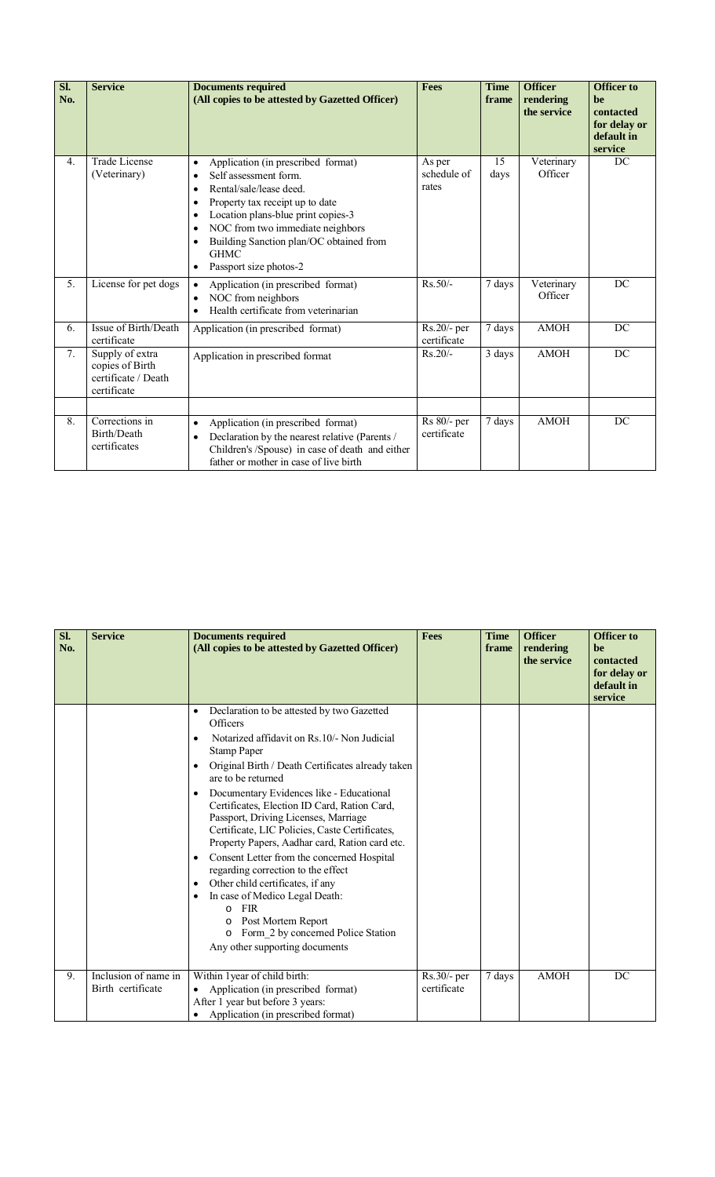| Sl.<br>No.       | <b>Service</b>                                                           | <b>Documents required</b><br>(All copies to be attested by Gazetted Officer)                                                                                                                                                                                                                                                                                                                   | <b>Fees</b>                    | <b>Time</b><br>frame | <b>Officer</b><br>rendering<br>the service | <b>Officer to</b><br>be<br>contacted<br>for delay or<br>default in<br>service |
|------------------|--------------------------------------------------------------------------|------------------------------------------------------------------------------------------------------------------------------------------------------------------------------------------------------------------------------------------------------------------------------------------------------------------------------------------------------------------------------------------------|--------------------------------|----------------------|--------------------------------------------|-------------------------------------------------------------------------------|
| 4.               | Trade License<br>(Veterinary)                                            | Application (in prescribed format)<br>$\bullet$<br>Self assessment form<br>$\bullet$<br>Rental/sale/lease deed.<br>$\bullet$<br>Property tax receipt up to date<br>$\bullet$<br>Location plans-blue print copies-3<br>$\bullet$<br>NOC from two immediate neighbors<br>$\bullet$<br>Building Sanction plan/OC obtained from<br>$\bullet$<br><b>GHMC</b><br>Passport size photos-2<br>$\bullet$ | As per<br>schedule of<br>rates | 15<br>days           | Veterinary<br>Officer                      | DC                                                                            |
| $\overline{5}$ . | License for pet dogs                                                     | Application (in prescribed format)<br>$\bullet$<br>NOC from neighbors<br>$\bullet$<br>Health certificate from veterinarian<br>$\bullet$                                                                                                                                                                                                                                                        | $Rs.50/-$                      | 7 days               | Veterinary<br>Officer                      | DC                                                                            |
| 6.               | Issue of Birth/Death<br>certificate                                      | Application (in prescribed format)                                                                                                                                                                                                                                                                                                                                                             | Rs.20/- per<br>certificate     | 7 days               | <b>AMOH</b>                                | DC                                                                            |
| 7.               | Supply of extra<br>copies of Birth<br>certificate / Death<br>certificate | Application in prescribed format                                                                                                                                                                                                                                                                                                                                                               | $Rs.20/-$                      | 3 days               | <b>AMOH</b>                                | DC                                                                            |
|                  | Corrections in                                                           |                                                                                                                                                                                                                                                                                                                                                                                                |                                |                      |                                            | DC                                                                            |
| 8.               | Birth/Death<br>certificates                                              | Application (in prescribed format)<br>$\bullet$<br>Declaration by the nearest relative (Parents /<br>$\bullet$<br>Children's /Spouse) in case of death and either<br>father or mother in case of live birth                                                                                                                                                                                    | Rs 80/- per<br>certificate     | 7 days               | <b>AMOH</b>                                |                                                                               |

| Sl.<br>No. | <b>Service</b>                            | <b>Documents required</b><br>(All copies to be attested by Gazetted Officer)                                                                                                                                                                                                                                                                                                                                                                                                                                                                                                                                                                                                                                                                                                                                                                       | <b>Fees</b>                | <b>Time</b><br>frame | <b>Officer</b><br>rendering<br>the service | <b>Officer to</b><br>be<br>contacted<br>for delay or<br>default in<br>service |
|------------|-------------------------------------------|----------------------------------------------------------------------------------------------------------------------------------------------------------------------------------------------------------------------------------------------------------------------------------------------------------------------------------------------------------------------------------------------------------------------------------------------------------------------------------------------------------------------------------------------------------------------------------------------------------------------------------------------------------------------------------------------------------------------------------------------------------------------------------------------------------------------------------------------------|----------------------------|----------------------|--------------------------------------------|-------------------------------------------------------------------------------|
|            |                                           | Declaration to be attested by two Gazetted<br>$\bullet$<br>Officers<br>Notarized affidavit on Rs. 10/- Non Judicial<br>$\bullet$<br><b>Stamp Paper</b><br>Original Birth / Death Certificates already taken<br>$\bullet$<br>are to be returned<br>Documentary Evidences like - Educational<br>$\bullet$<br>Certificates, Election ID Card, Ration Card,<br>Passport, Driving Licenses, Marriage<br>Certificate, LIC Policies, Caste Certificates,<br>Property Papers, Aadhar card, Ration card etc.<br>Consent Letter from the concerned Hospital<br>$\bullet$<br>regarding correction to the effect<br>Other child certificates, if any<br>$\bullet$<br>In case of Medico Legal Death:<br>$\bullet$<br><b>FIR</b><br>$\Omega$<br>Post Mortem Report<br>$\circ$<br>Form 2 by concerned Police Station<br>$\circ$<br>Any other supporting documents |                            |                      |                                            |                                                                               |
| 9.         | Inclusion of name in<br>Birth certificate | Within 1 year of child birth:<br>Application (in prescribed format)<br>$\bullet$<br>After 1 year but before 3 years:<br>Application (in prescribed format)                                                                                                                                                                                                                                                                                                                                                                                                                                                                                                                                                                                                                                                                                         | Rs.30/- per<br>certificate | 7 days               | <b>AMOH</b>                                | DC                                                                            |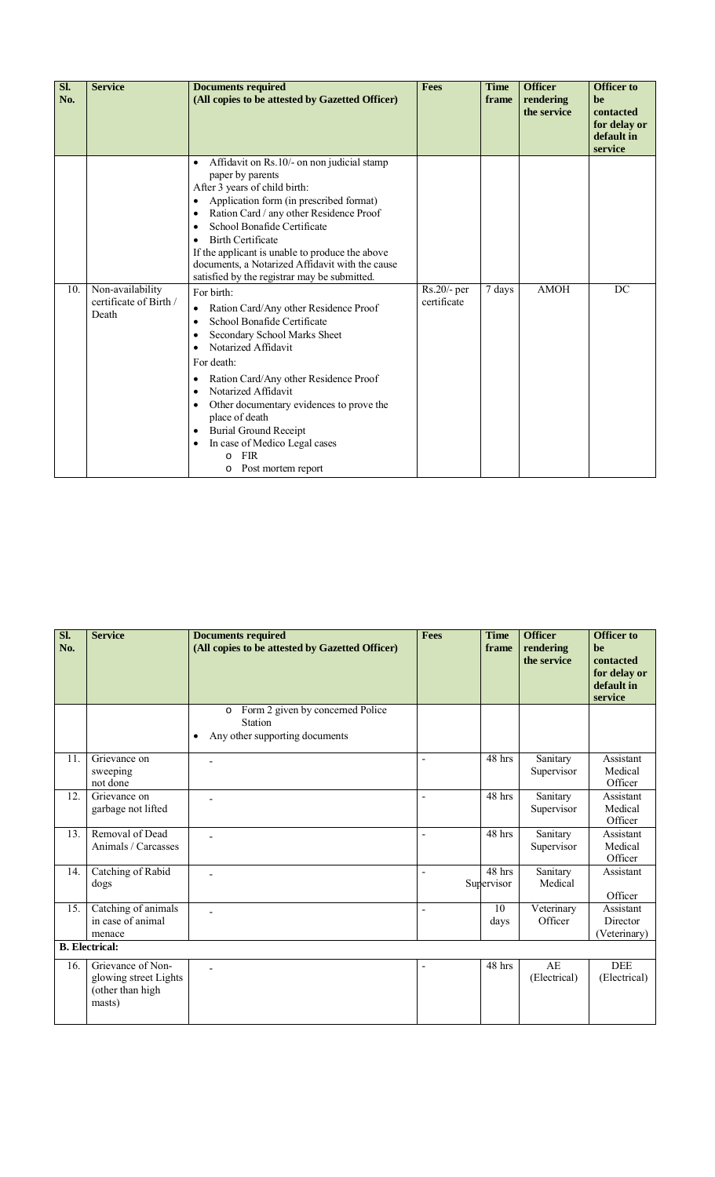| Sl.<br>No. | <b>Service</b>                                      | <b>Documents required</b><br>(All copies to be attested by Gazetted Officer)                                                                                                                                                                                                                                                                                                                                                                                                                                                                                                                                                                                                                                                                                                                                                                                                                                                                                                                        | <b>Fees</b>                  | <b>Time</b><br>frame | <b>Officer</b><br>rendering<br>the service | <b>Officer to</b><br>be<br>contacted<br>for delay or<br>default in<br>service |
|------------|-----------------------------------------------------|-----------------------------------------------------------------------------------------------------------------------------------------------------------------------------------------------------------------------------------------------------------------------------------------------------------------------------------------------------------------------------------------------------------------------------------------------------------------------------------------------------------------------------------------------------------------------------------------------------------------------------------------------------------------------------------------------------------------------------------------------------------------------------------------------------------------------------------------------------------------------------------------------------------------------------------------------------------------------------------------------------|------------------------------|----------------------|--------------------------------------------|-------------------------------------------------------------------------------|
| 10.        | Non-availability<br>certificate of Birth /<br>Death | Affidavit on Rs.10/- on non judicial stamp<br>$\bullet$<br>paper by parents<br>After 3 years of child birth:<br>Application form (in prescribed format)<br>$\bullet$<br>Ration Card / any other Residence Proof<br>$\bullet$<br>School Bonafide Certificate<br>$\bullet$<br><b>Birth Certificate</b><br>$\bullet$<br>If the applicant is unable to produce the above<br>documents, a Notarized Affidavit with the cause<br>satisfied by the registrar may be submitted.<br>For birth:<br>Ration Card/Any other Residence Proof<br>$\bullet$<br>School Bonafide Certificate<br>$\bullet$<br>Secondary School Marks Sheet<br>٠<br>Notarized Affidavit<br>$\bullet$<br>For death:<br>Ration Card/Any other Residence Proof<br>$\bullet$<br>Notarized Affidavit<br>$\bullet$<br>Other documentary evidences to prove the<br>$\bullet$<br>place of death<br><b>Burial Ground Receipt</b><br>$\bullet$<br>In case of Medico Legal cases<br>$\bullet$<br><b>FIR</b><br>$\Omega$<br>Post mortem report<br>O | $Rs.20/-$ per<br>certificate | 7 days               | <b>AMOH</b>                                | DC                                                                            |

| SI.<br>No. | <b>Service</b>                                                           | <b>Documents required</b><br>(All copies to be attested by Gazetted Officer)                          | <b>Fees</b>    | <b>Time</b><br>frame              | <b>Officer</b><br>rendering<br>the service | <b>Officer to</b><br>be<br>contacted<br>for delay or<br>default in<br>service |
|------------|--------------------------------------------------------------------------|-------------------------------------------------------------------------------------------------------|----------------|-----------------------------------|--------------------------------------------|-------------------------------------------------------------------------------|
|            |                                                                          | Form 2 given by concerned Police<br>$\circ$<br>Station<br>Any other supporting documents<br>$\bullet$ |                |                                   |                                            |                                                                               |
| 11.        | Grievance on<br>sweeping<br>not done                                     |                                                                                                       |                | 48 hrs                            | Sanitary<br>Supervisor                     | Assistant<br>Medical<br>Officer                                               |
| 12.        | Grievance on<br>garbage not lifted                                       | ۳                                                                                                     |                | 48 hrs                            | Sanitary<br>Supervisor                     | Assistant<br>Medical<br>Officer                                               |
| 13.        | Removal of Dead<br>Animals / Carcasses                                   |                                                                                                       |                | 48 hrs                            | Sanitary<br>Supervisor                     | Assistant<br>Medical<br>Officer                                               |
| 14.        | Catching of Rabid<br>dogs                                                |                                                                                                       | $\blacksquare$ | $\overline{48}$ hrs<br>Supervisor | Sanitary<br>Medical                        | Assistant<br>Officer                                                          |
| 15.        | Catching of animals<br>in case of animal<br>menace                       | L,                                                                                                    | $\blacksquare$ | 10<br>days                        | Veterinary<br>Officer                      | Assistant<br>Director<br>(Veterinary)                                         |
|            | <b>B.</b> Electrical:                                                    |                                                                                                       |                |                                   |                                            |                                                                               |
| 16.        | Grievance of Non-<br>glowing street Lights<br>(other than high<br>masts) | ÷.                                                                                                    |                | 48 hrs                            | AE<br>(Electrical)                         | <b>DEE</b><br>(Electrical)                                                    |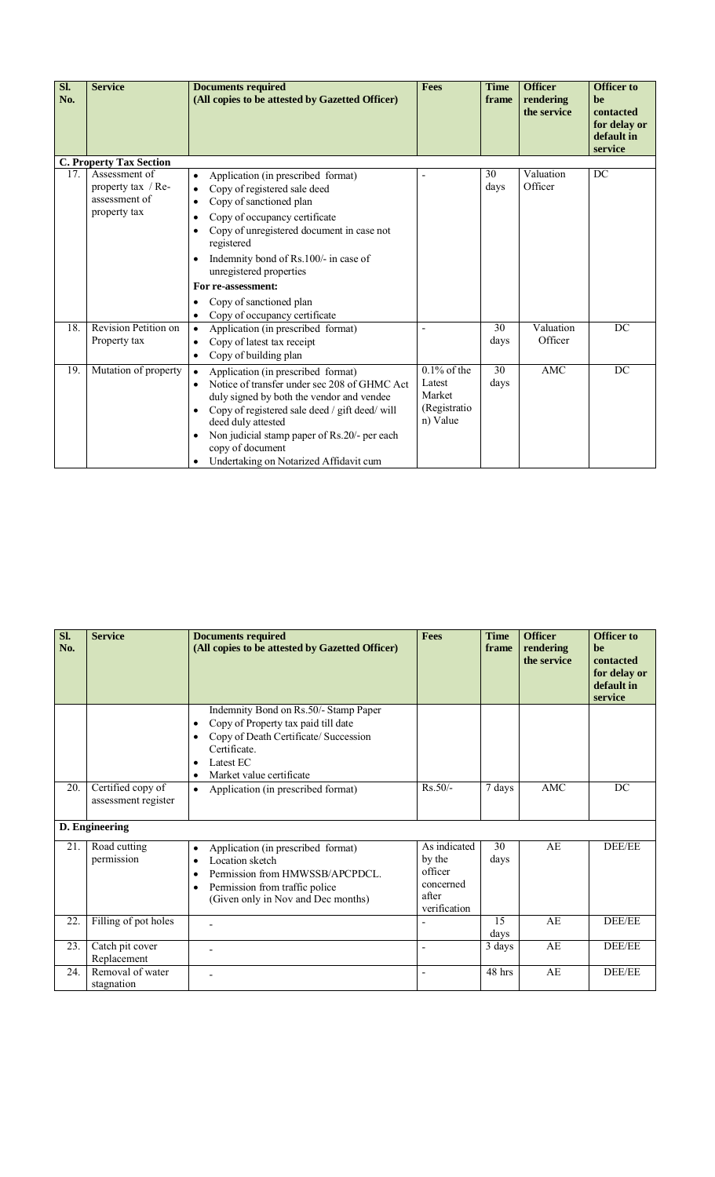| Sl.<br>No. | <b>Service</b>                                                       | <b>Documents required</b><br>(All copies to be attested by Gazetted Officer)                                                                                                                                                                                                                                                                                                           | <b>Fees</b>                                                    | <b>Time</b><br>frame | <b>Officer</b><br>rendering<br>the service | <b>Officer to</b><br>be<br>contacted<br>for delay or<br>default in<br>service |
|------------|----------------------------------------------------------------------|----------------------------------------------------------------------------------------------------------------------------------------------------------------------------------------------------------------------------------------------------------------------------------------------------------------------------------------------------------------------------------------|----------------------------------------------------------------|----------------------|--------------------------------------------|-------------------------------------------------------------------------------|
|            | <b>C. Property Tax Section</b>                                       |                                                                                                                                                                                                                                                                                                                                                                                        |                                                                |                      |                                            |                                                                               |
| 17.        | Assessment of<br>property tax / Re-<br>assessment of<br>property tax | Application (in prescribed format)<br>$\bullet$<br>Copy of registered sale deed<br>$\bullet$<br>Copy of sanctioned plan<br>$\bullet$<br>Copy of occupancy certificate<br>$\bullet$<br>Copy of unregistered document in case not<br>$\bullet$<br>registered<br>Indemnity bond of Rs.100/- in case of<br>$\bullet$<br>unregistered properties<br>For re-assessment:                      |                                                                | 30<br>days           | Valuation<br>Officer                       | DC                                                                            |
|            |                                                                      | Copy of sanctioned plan<br>$\bullet$<br>Copy of occupancy certificate<br>$\bullet$                                                                                                                                                                                                                                                                                                     |                                                                |                      |                                            |                                                                               |
| 18.        | Revision Petition on<br>Property tax                                 | Application (in prescribed format)<br>$\bullet$<br>Copy of latest tax receipt<br>$\bullet$<br>Copy of building plan<br>$\bullet$                                                                                                                                                                                                                                                       |                                                                | 30<br>days           | Valuation<br>Officer                       | DC                                                                            |
| 19.        | Mutation of property                                                 | Application (in prescribed format)<br>$\bullet$<br>Notice of transfer under sec 208 of GHMC Act<br>$\bullet$<br>duly signed by both the vendor and vendee<br>Copy of registered sale deed / gift deed/ will<br>$\bullet$<br>deed duly attested<br>Non judicial stamp paper of Rs.20/- per each<br>$\bullet$<br>copy of document<br>Undertaking on Notarized Affidavit cum<br>$\bullet$ | $0.1\%$ of the<br>Latest<br>Market<br>(Registratio<br>n) Value | 30<br>days           | AMC                                        | DC                                                                            |

| Sl.<br>No. | <b>Service</b>                           | <b>Documents required</b><br>(All copies to be attested by Gazetted Officer)                                                                                                                                                                                                          | <b>Fees</b>                                                             | <b>Time</b><br>frame | <b>Officer</b><br>rendering<br>the service | <b>Officer to</b><br>be<br>contacted<br>for delay or<br>default in<br>service |
|------------|------------------------------------------|---------------------------------------------------------------------------------------------------------------------------------------------------------------------------------------------------------------------------------------------------------------------------------------|-------------------------------------------------------------------------|----------------------|--------------------------------------------|-------------------------------------------------------------------------------|
| 20.        | Certified copy of<br>assessment register | Indemnity Bond on Rs.50/- Stamp Paper<br>Copy of Property tax paid till date<br>$\bullet$<br>Copy of Death Certificate/ Succession<br>$\bullet$<br>Certificate.<br>Latest EC<br>$\bullet$<br>Market value certificate<br>$\bullet$<br>Application (in prescribed format)<br>$\bullet$ | $Rs.50/-$                                                               | 7 days               | <b>AMC</b>                                 | DC                                                                            |
|            | D. Engineering                           |                                                                                                                                                                                                                                                                                       |                                                                         |                      |                                            |                                                                               |
| 21.        | Road cutting<br>permission               | Application (in prescribed format)<br>$\bullet$<br>Location sketch<br>$\bullet$<br>Permission from HMWSSB/APCPDCL.<br>$\bullet$<br>Permission from traffic police<br>$\bullet$<br>(Given only in Nov and Dec months)                                                                  | As indicated<br>by the<br>officer<br>concerned<br>after<br>verification | 30<br>days           | AE                                         | DEE/EE                                                                        |
| 22.        | Filling of pot holes                     |                                                                                                                                                                                                                                                                                       |                                                                         | 15<br>days           | AE                                         | DEE/EE                                                                        |
| 23.        | Catch pit cover<br>Replacement           |                                                                                                                                                                                                                                                                                       |                                                                         | 3 days               | AE                                         | DEE/EE                                                                        |
| 24.        | Removal of water<br>stagnation           |                                                                                                                                                                                                                                                                                       |                                                                         | 48 hrs               | AE                                         | DEE/EE                                                                        |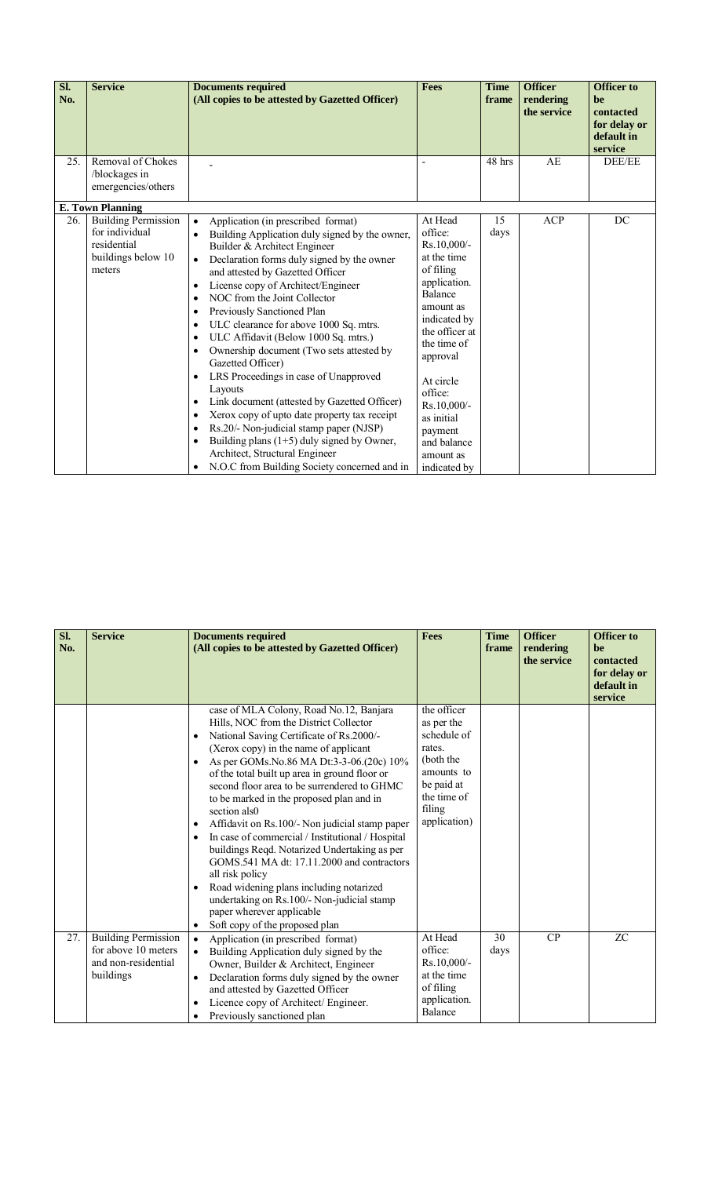| Sl.<br>No. | <b>Service</b>                                                                                                         | <b>Documents required</b><br>(All copies to be attested by Gazetted Officer)                                                                                                                                                                                                                                                                                                                                                                                                                                                                                                                                                                                                                                                                                                                                                          | <b>Fees</b>                                                                                                                                                                                                                                 | <b>Time</b><br>frame | <b>Officer</b><br>rendering<br>the service | <b>Officer to</b><br>be<br>contacted<br>for delay or<br>default in |
|------------|------------------------------------------------------------------------------------------------------------------------|---------------------------------------------------------------------------------------------------------------------------------------------------------------------------------------------------------------------------------------------------------------------------------------------------------------------------------------------------------------------------------------------------------------------------------------------------------------------------------------------------------------------------------------------------------------------------------------------------------------------------------------------------------------------------------------------------------------------------------------------------------------------------------------------------------------------------------------|---------------------------------------------------------------------------------------------------------------------------------------------------------------------------------------------------------------------------------------------|----------------------|--------------------------------------------|--------------------------------------------------------------------|
| 25.        | Removal of Chokes<br>/blockages in<br>emergencies/others                                                               |                                                                                                                                                                                                                                                                                                                                                                                                                                                                                                                                                                                                                                                                                                                                                                                                                                       |                                                                                                                                                                                                                                             | 48 hrs               | AE                                         | service<br>DEE/EE                                                  |
| 26.        | <b>E. Town Planning</b><br><b>Building Permission</b><br>for individual<br>residential<br>buildings below 10<br>meters | Application (in prescribed format)<br>$\bullet$<br>Building Application duly signed by the owner,<br>$\bullet$<br>Builder & Architect Engineer<br>Declaration forms duly signed by the owner<br>$\bullet$<br>and attested by Gazetted Officer<br>License copy of Architect/Engineer<br>$\bullet$<br>NOC from the Joint Collector<br>$\bullet$<br>Previously Sanctioned Plan<br>$\bullet$<br>ULC clearance for above 1000 Sq. mtrs.<br>$\bullet$<br>ULC Affidavit (Below 1000 Sq. mtrs.)<br>$\bullet$<br>Ownership document (Two sets attested by<br>$\bullet$<br>Gazetted Officer)<br>LRS Proceedings in case of Unapproved<br>$\bullet$<br>Layouts<br>Link document (attested by Gazetted Officer)<br>$\bullet$<br>Xerox copy of upto date property tax receipt<br>$\bullet$<br>Rs.20/- Non-judicial stamp paper (NJSP)<br>$\bullet$ | At Head<br>office:<br>$Rs.10,000/-$<br>at the time<br>of filing<br>application.<br><b>Balance</b><br>amount as<br>indicated by<br>the officer at<br>the time of<br>approval<br>At circle<br>office:<br>Rs.10,000/-<br>as initial<br>payment | 15<br>days           | <b>ACP</b>                                 | DC                                                                 |
|            |                                                                                                                        | Building plans $(1+5)$ duly signed by Owner,<br>$\bullet$<br>Architect, Structural Engineer<br>N.O.C from Building Society concerned and in<br>$\bullet$                                                                                                                                                                                                                                                                                                                                                                                                                                                                                                                                                                                                                                                                              | and balance<br>amount as<br>indicated by                                                                                                                                                                                                    |                      |                                            |                                                                    |

| $\overline{\text{SL}}$ | <b>Service</b>             | <b>Documents required</b>                                                                  | <b>Fees</b>               | <b>Time</b> | <b>Officer</b>           | <b>Officer to</b>      |
|------------------------|----------------------------|--------------------------------------------------------------------------------------------|---------------------------|-------------|--------------------------|------------------------|
| No.                    |                            | (All copies to be attested by Gazetted Officer)                                            |                           | frame       | rendering<br>the service | <b>he</b><br>contacted |
|                        |                            |                                                                                            |                           |             |                          | for delay or           |
|                        |                            |                                                                                            |                           |             |                          | default in             |
|                        |                            |                                                                                            |                           |             |                          | service                |
|                        |                            | case of MLA Colony, Road No.12, Banjara                                                    | the officer               |             |                          |                        |
|                        |                            | Hills, NOC from the District Collector                                                     | as per the                |             |                          |                        |
|                        |                            | National Saving Certificate of Rs.2000/-<br>$\bullet$                                      | schedule of               |             |                          |                        |
|                        |                            | (Xerox copy) in the name of applicant                                                      | rates.                    |             |                          |                        |
|                        |                            | As per GOMs. No. 86 MA Dt:3-3-06. (20c) 10%                                                | (both the                 |             |                          |                        |
|                        |                            | of the total built up area in ground floor or                                              | amounts to                |             |                          |                        |
|                        |                            | second floor area to be surrendered to GHMC                                                | be paid at<br>the time of |             |                          |                        |
|                        |                            | to be marked in the proposed plan and in                                                   | filing                    |             |                          |                        |
|                        |                            | section als0                                                                               | application)              |             |                          |                        |
|                        |                            | Affidavit on Rs. 100/- Non judicial stamp paper<br>$\bullet$                               |                           |             |                          |                        |
|                        |                            | In case of commercial / Institutional / Hospital<br>$\bullet$                              |                           |             |                          |                        |
|                        |                            | buildings Reqd. Notarized Undertaking as per<br>GOMS.541 MA dt: 17.11.2000 and contractors |                           |             |                          |                        |
|                        |                            | all risk policy                                                                            |                           |             |                          |                        |
|                        |                            | Road widening plans including notarized<br>$\bullet$                                       |                           |             |                          |                        |
|                        |                            | undertaking on Rs.100/- Non-judicial stamp                                                 |                           |             |                          |                        |
|                        |                            | paper wherever applicable                                                                  |                           |             |                          |                        |
|                        |                            | Soft copy of the proposed plan<br>$\bullet$                                                |                           |             |                          |                        |
| 27.                    | <b>Building Permission</b> | Application (in prescribed format)<br>$\bullet$                                            | At Head                   | 30          | CP                       | <b>ZC</b>              |
|                        | for above 10 meters        | Building Application duly signed by the                                                    | office:                   | days        |                          |                        |
|                        | and non-residential        | Owner, Builder & Architect, Engineer                                                       | Rs.10,000/-               |             |                          |                        |
|                        | buildings                  | Declaration forms duly signed by the owner<br>$\bullet$                                    | at the time               |             |                          |                        |
|                        |                            | and attested by Gazetted Officer                                                           | of filing                 |             |                          |                        |
|                        |                            | Licence copy of Architect/ Engineer.<br>$\bullet$                                          | application.              |             |                          |                        |
|                        |                            | Previously sanctioned plan<br>$\bullet$                                                    | Balance                   |             |                          |                        |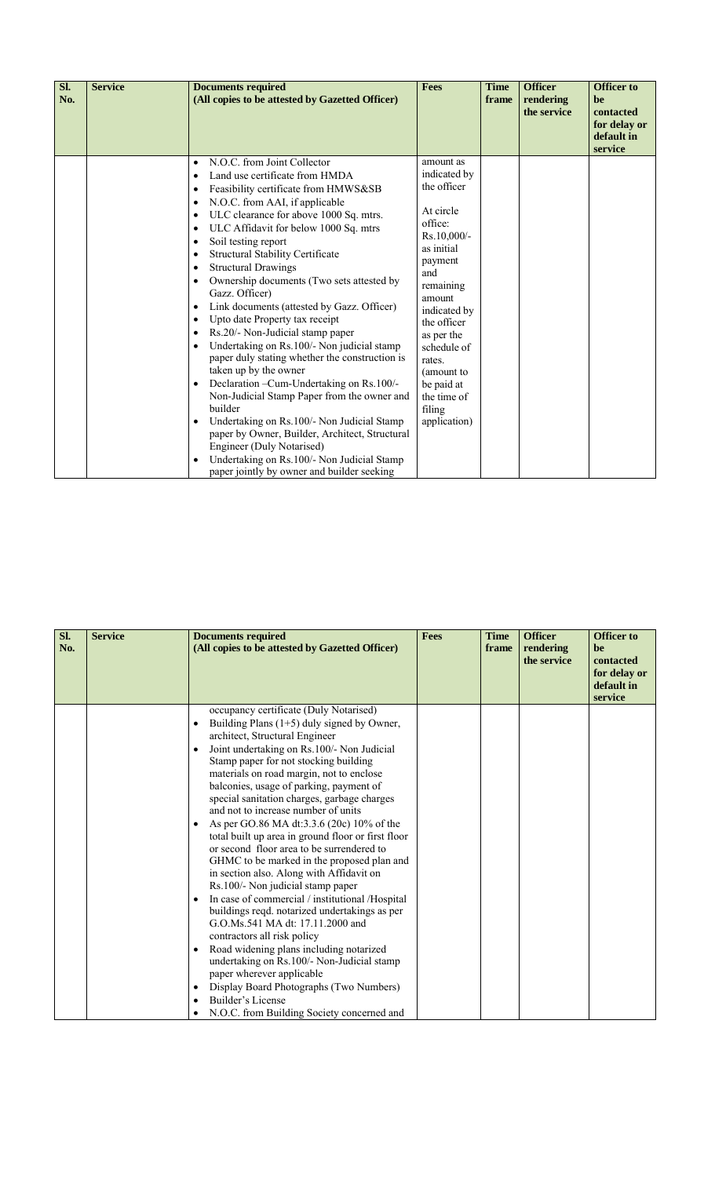| Sl.<br>No. | <b>Service</b> | <b>Documents required</b><br>(All copies to be attested by Gazetted Officer)                                                                                                                                                                                                                                                                                                                                                                                                                                                                                                                                                                                                                                                                                                                                                                                                                                                                                                                                                                                                                                                                                                                         | <b>Fees</b>                                                                                                                                                                                                                                                                       | <b>Time</b><br>frame | <b>Officer</b><br>rendering<br>the service | <b>Officer</b> to<br>be<br>contacted<br>for delay or<br>default in<br>service |
|------------|----------------|------------------------------------------------------------------------------------------------------------------------------------------------------------------------------------------------------------------------------------------------------------------------------------------------------------------------------------------------------------------------------------------------------------------------------------------------------------------------------------------------------------------------------------------------------------------------------------------------------------------------------------------------------------------------------------------------------------------------------------------------------------------------------------------------------------------------------------------------------------------------------------------------------------------------------------------------------------------------------------------------------------------------------------------------------------------------------------------------------------------------------------------------------------------------------------------------------|-----------------------------------------------------------------------------------------------------------------------------------------------------------------------------------------------------------------------------------------------------------------------------------|----------------------|--------------------------------------------|-------------------------------------------------------------------------------|
|            |                | N.O.C. from Joint Collector<br>$\bullet$<br>Land use certificate from HMDA<br>$\bullet$<br>Feasibility certificate from HMWS&SB<br>$\bullet$<br>N.O.C. from AAI, if applicable<br>$\bullet$<br>ULC clearance for above 1000 Sq. mtrs.<br>$\bullet$<br>ULC Affidavit for below 1000 Sq. mtrs<br>$\bullet$<br>Soil testing report<br>$\bullet$<br><b>Structural Stability Certificate</b><br>$\bullet$<br><b>Structural Drawings</b><br>$\bullet$<br>Ownership documents (Two sets attested by<br>$\bullet$<br>Gazz. Officer)<br>Link documents (attested by Gazz. Officer)<br>$\bullet$<br>Upto date Property tax receipt<br>$\bullet$<br>Rs.20/- Non-Judicial stamp paper<br>$\bullet$<br>Undertaking on Rs.100/- Non judicial stamp<br>$\bullet$<br>paper duly stating whether the construction is<br>taken up by the owner<br>Declaration - Cum-Undertaking on Rs.100/-<br>$\bullet$<br>Non-Judicial Stamp Paper from the owner and<br>builder<br>Undertaking on Rs. 100/- Non Judicial Stamp<br>$\bullet$<br>paper by Owner, Builder, Architect, Structural<br>Engineer (Duly Notarised)<br>Undertaking on Rs.100/- Non Judicial Stamp<br>$\bullet$<br>paper jointly by owner and builder seeking | amount as<br>indicated by<br>the officer<br>At circle<br>office:<br>Rs.10,000/-<br>as initial<br>payment<br>and<br>remaining<br>amount<br>indicated by<br>the officer<br>as per the<br>schedule of<br>rates.<br>(amount to<br>be paid at<br>the time of<br>filing<br>application) |                      |                                            |                                                                               |

| Sl.<br>No. | <b>Service</b> | <b>Documents required</b><br>(All copies to be attested by Gazetted Officer)                                                                                                                                                                                                                                                                                                                                                                                                                                                                                                                                                                                                                                                                                                                                                                                                                                                                                                                                                                                                                                                                                                      | <b>Fees</b> | <b>Time</b><br>frame | <b>Officer</b><br>rendering<br>the service | <b>Officer to</b><br>be<br>contacted<br>for delay or<br>default in<br>service |
|------------|----------------|-----------------------------------------------------------------------------------------------------------------------------------------------------------------------------------------------------------------------------------------------------------------------------------------------------------------------------------------------------------------------------------------------------------------------------------------------------------------------------------------------------------------------------------------------------------------------------------------------------------------------------------------------------------------------------------------------------------------------------------------------------------------------------------------------------------------------------------------------------------------------------------------------------------------------------------------------------------------------------------------------------------------------------------------------------------------------------------------------------------------------------------------------------------------------------------|-------------|----------------------|--------------------------------------------|-------------------------------------------------------------------------------|
|            |                | occupancy certificate (Duly Notarised)<br>Building Plans $(1+5)$ duly signed by Owner,<br>$\bullet$<br>architect, Structural Engineer<br>Joint undertaking on Rs.100/- Non Judicial<br>$\bullet$<br>Stamp paper for not stocking building<br>materials on road margin, not to enclose<br>balconies, usage of parking, payment of<br>special sanitation charges, garbage charges<br>and not to increase number of units<br>As per GO.86 MA dt:3.3.6 (20c) 10% of the<br>$\bullet$<br>total built up area in ground floor or first floor<br>or second floor area to be surrendered to<br>GHMC to be marked in the proposed plan and<br>in section also. Along with Affidavit on<br>Rs.100/- Non judicial stamp paper<br>In case of commercial / institutional /Hospital<br>$\bullet$<br>buildings reqd. notarized undertakings as per<br>G.O.Ms.541 MA dt: 17.11.2000 and<br>contractors all risk policy<br>Road widening plans including notarized<br>$\bullet$<br>undertaking on Rs.100/- Non-Judicial stamp<br>paper wherever applicable<br>Display Board Photographs (Two Numbers)<br>$\bullet$<br>Builder's License<br>$\bullet$<br>N.O.C. from Building Society concerned and |             |                      |                                            |                                                                               |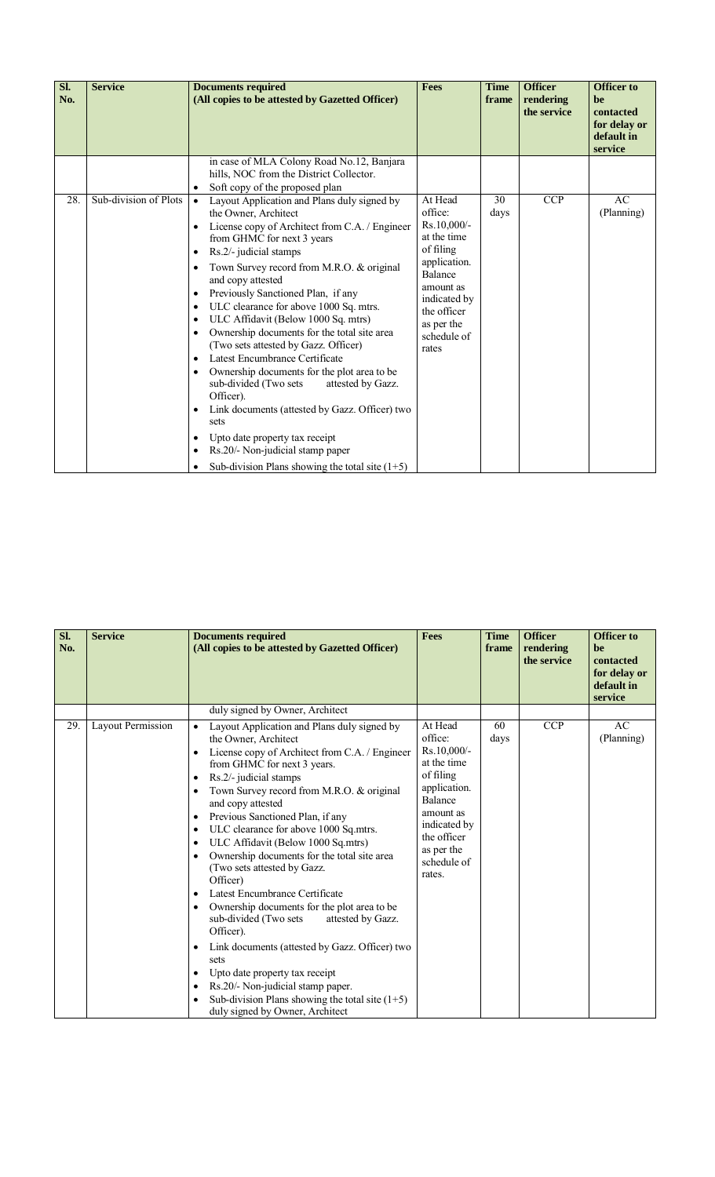| Sl.<br>No. | <b>Service</b>        | <b>Documents required</b><br>(All copies to be attested by Gazetted Officer)                                                                                                                                                                                                                                                                                                                                                                                                                                                                                                                                                                                                                                                                                                                                                                                                                                                                                                          | <b>Fees</b>                                                                                                                                                                       | <b>Time</b><br>frame | <b>Officer</b><br>rendering<br>the service | <b>Officer</b> to<br>be<br>contacted<br>for delay or<br>default in<br>service |
|------------|-----------------------|---------------------------------------------------------------------------------------------------------------------------------------------------------------------------------------------------------------------------------------------------------------------------------------------------------------------------------------------------------------------------------------------------------------------------------------------------------------------------------------------------------------------------------------------------------------------------------------------------------------------------------------------------------------------------------------------------------------------------------------------------------------------------------------------------------------------------------------------------------------------------------------------------------------------------------------------------------------------------------------|-----------------------------------------------------------------------------------------------------------------------------------------------------------------------------------|----------------------|--------------------------------------------|-------------------------------------------------------------------------------|
|            |                       | in case of MLA Colony Road No.12, Banjara<br>hills, NOC from the District Collector.<br>Soft copy of the proposed plan                                                                                                                                                                                                                                                                                                                                                                                                                                                                                                                                                                                                                                                                                                                                                                                                                                                                |                                                                                                                                                                                   |                      |                                            |                                                                               |
| 28.        | Sub-division of Plots | Layout Application and Plans duly signed by<br>$\bullet$<br>the Owner, Architect<br>License copy of Architect from C.A. / Engineer<br>$\bullet$<br>from GHMC for next 3 years<br>Rs.2/- judicial stamps<br>$\bullet$<br>Town Survey record from M.R.O. & original<br>$\bullet$<br>and copy attested<br>Previously Sanctioned Plan, if any<br>$\bullet$<br>ULC clearance for above 1000 Sq. mtrs.<br>$\bullet$<br>ULC Affidavit (Below 1000 Sq. mtrs)<br>$\bullet$<br>Ownership documents for the total site area<br>$\bullet$<br>(Two sets attested by Gazz. Officer)<br>Latest Encumbrance Certificate<br>$\bullet$<br>Ownership documents for the plot area to be<br>$\bullet$<br>sub-divided (Two sets)<br>attested by Gazz.<br>Officer).<br>Link documents (attested by Gazz. Officer) two<br>$\bullet$<br>sets<br>Upto date property tax receipt<br>$\bullet$<br>Rs.20/- Non-judicial stamp paper<br>$\bullet$<br>Sub-division Plans showing the total site $(1+5)$<br>$\bullet$ | At Head<br>office:<br>Rs.10,000/-<br>at the time<br>of filing<br>application.<br><b>Balance</b><br>amount as<br>indicated by<br>the officer<br>as per the<br>schedule of<br>rates | 30<br>days           | <b>CCP</b>                                 | AC<br>(Planning)                                                              |

| Sl.<br>No. | <b>Service</b>           | <b>Documents required</b><br>(All copies to be attested by Gazetted Officer)                                                                                                                                                                                                                                                                                                                                                                                                                                                                                                                                                                                                                                                                                                                                                                                                                                                                                                      | <b>Fees</b>                                                                                                                                                                        | <b>Time</b><br>frame | <b>Officer</b><br>rendering<br>the service | <b>Officer to</b><br>be<br>contacted<br>for delay or<br>default in<br>service |
|------------|--------------------------|-----------------------------------------------------------------------------------------------------------------------------------------------------------------------------------------------------------------------------------------------------------------------------------------------------------------------------------------------------------------------------------------------------------------------------------------------------------------------------------------------------------------------------------------------------------------------------------------------------------------------------------------------------------------------------------------------------------------------------------------------------------------------------------------------------------------------------------------------------------------------------------------------------------------------------------------------------------------------------------|------------------------------------------------------------------------------------------------------------------------------------------------------------------------------------|----------------------|--------------------------------------------|-------------------------------------------------------------------------------|
|            |                          | duly signed by Owner, Architect                                                                                                                                                                                                                                                                                                                                                                                                                                                                                                                                                                                                                                                                                                                                                                                                                                                                                                                                                   |                                                                                                                                                                                    |                      |                                            |                                                                               |
| 29.        | <b>Layout Permission</b> | Layout Application and Plans duly signed by<br>the Owner, Architect<br>License copy of Architect from C.A. / Engineer<br>$\bullet$<br>from GHMC for next 3 years.<br>Rs.2/- judicial stamps<br>$\bullet$<br>Town Survey record from M.R.O. & original<br>and copy attested<br>Previous Sanctioned Plan, if any<br>$\bullet$<br>ULC clearance for above 1000 Sq.mtrs.<br>$\bullet$<br>ULC Affidavit (Below 1000 Sq.mtrs)<br>$\bullet$<br>Ownership documents for the total site area<br>$\bullet$<br>(Two sets attested by Gazz.<br>Officer)<br>Latest Encumbrance Certificate<br>$\bullet$<br>Ownership documents for the plot area to be<br>sub-divided (Two sets<br>attested by Gazz.<br>Officer).<br>Link documents (attested by Gazz. Officer) two<br>$\bullet$<br>sets<br>Upto date property tax receipt<br>$\bullet$<br>Rs.20/- Non-judicial stamp paper.<br>$\bullet$<br>Sub-division Plans showing the total site $(1+5)$<br>$\bullet$<br>duly signed by Owner, Architect | At Head<br>office:<br>Rs.10,000/-<br>at the time<br>of filing<br>application.<br><b>Balance</b><br>amount as<br>indicated by<br>the officer<br>as per the<br>schedule of<br>rates. | 60<br>days           | <b>CCP</b>                                 | AC<br>(Planning)                                                              |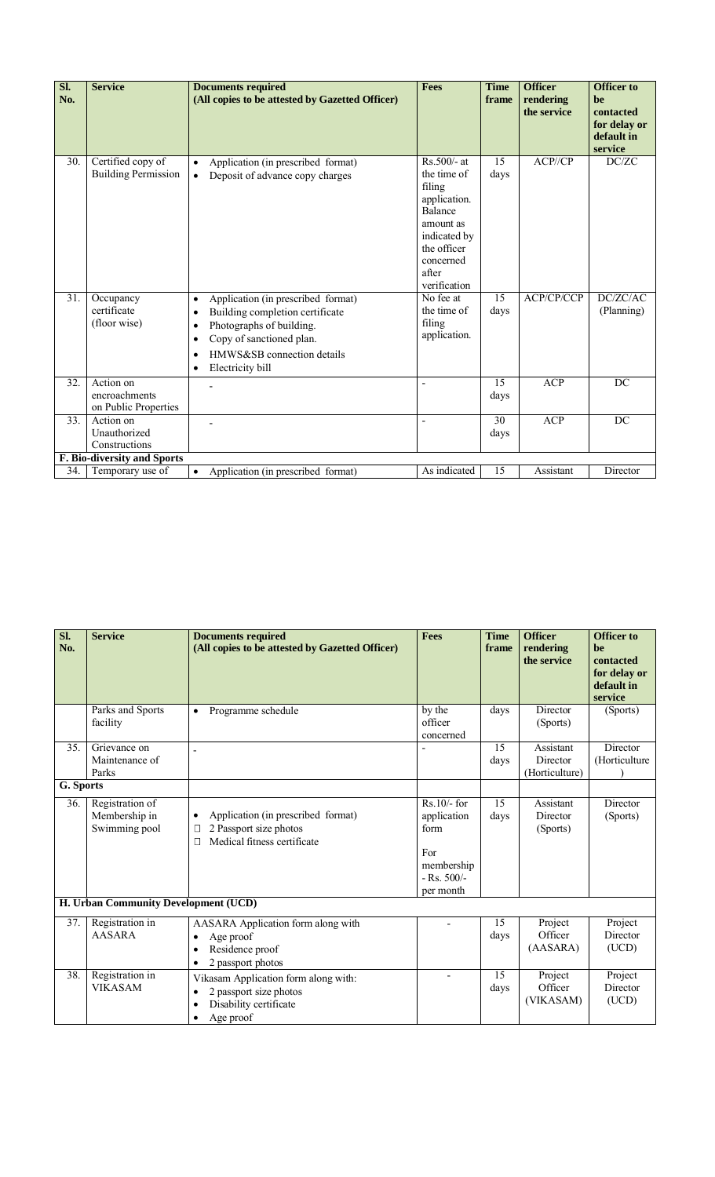| SI.<br>No. | <b>Service</b>                                     | <b>Documents required</b><br>(All copies to be attested by Gazetted Officer)                                                                                                                                                                                  | Fees                                                                                                                                                       | <b>Time</b><br>frame | <b>Officer</b><br>rendering<br>the service | <b>Officer to</b><br>be<br>contacted<br>for delay or<br>default in<br>service |
|------------|----------------------------------------------------|---------------------------------------------------------------------------------------------------------------------------------------------------------------------------------------------------------------------------------------------------------------|------------------------------------------------------------------------------------------------------------------------------------------------------------|----------------------|--------------------------------------------|-------------------------------------------------------------------------------|
| 30.        | Certified copy of<br><b>Building Permission</b>    | Application (in prescribed format)<br>$\bullet$<br>Deposit of advance copy charges<br>$\bullet$                                                                                                                                                               | $Rs.500/- at$<br>the time of<br>filing<br>application.<br><b>Balance</b><br>amount as<br>indicated by<br>the officer<br>concerned<br>after<br>verification | 15<br>days           | ACP/CP                                     | DC/ZC                                                                         |
| 31.        | Occupancy<br>certificate<br>(floor wise)           | Application (in prescribed format)<br>$\bullet$<br>Building completion certificate<br>$\bullet$<br>Photographs of building.<br>$\bullet$<br>Copy of sanctioned plan.<br>$\bullet$<br>HMWS&SB connection details<br>$\bullet$<br>Electricity bill<br>$\bullet$ | No fee at<br>the time of<br>filing<br>application.                                                                                                         | 15<br>days           | ACP/CP/CCP                                 | DC/ZC/AC<br>(Planning)                                                        |
| 32.        | Action on<br>encroachments<br>on Public Properties |                                                                                                                                                                                                                                                               |                                                                                                                                                            | 15<br>days           | <b>ACP</b>                                 | DC                                                                            |
| 33.        | Action on<br>Unauthorized<br>Constructions         |                                                                                                                                                                                                                                                               |                                                                                                                                                            | 30<br>days           | ACP                                        | DC                                                                            |
|            | F. Bio-diversity and Sports                        |                                                                                                                                                                                                                                                               |                                                                                                                                                            |                      |                                            |                                                                               |
| 34.        | Temporary use of                                   | Application (in prescribed format)<br>$\bullet$                                                                                                                                                                                                               | As indicated                                                                                                                                               | 15                   | Assistant                                  | Director                                                                      |

| SI.<br>No. | <b>Service</b>                                    | <b>Documents required</b><br>(All copies to be attested by Gazetted Officer)                                                                 | <b>Fees</b>                                                                            | <b>Time</b><br>frame | <b>Officer</b><br>rendering<br>the service | <b>Officer to</b><br>be<br>contacted<br>for delay or<br>default in<br>service |
|------------|---------------------------------------------------|----------------------------------------------------------------------------------------------------------------------------------------------|----------------------------------------------------------------------------------------|----------------------|--------------------------------------------|-------------------------------------------------------------------------------|
|            | Parks and Sports<br>facility                      | Programme schedule<br>$\bullet$                                                                                                              | by the<br>officer<br>concerned                                                         | days                 | Director<br>(Sports)                       | (Sports)                                                                      |
| 35.        | Grievance on<br>Maintenance of<br>Parks           | $\blacksquare$                                                                                                                               |                                                                                        | 15<br>days           | Assistant<br>Director<br>(Horticulture)    | Director<br>(Horticulture                                                     |
| G. Sports  |                                                   |                                                                                                                                              |                                                                                        |                      |                                            |                                                                               |
| 36.        | Registration of<br>Membership in<br>Swimming pool | Application (in prescribed format)<br>$\bullet$<br>2 Passport size photos<br>⊏<br>Medical fitness certificate<br>Г                           | $Rs.10/-$ for<br>application<br>form<br>For<br>membership<br>$-Rs. 500/-$<br>per month | 15<br>days           | Assistant<br>Director<br>(Sports)          | Director<br>(Sports)                                                          |
|            | H. Urban Community Development (UCD)              |                                                                                                                                              |                                                                                        |                      |                                            |                                                                               |
| 37.        | Registration in<br><b>AASARA</b>                  | AASARA Application form along with<br>Age proof<br>$\bullet$<br>Residence proof<br>$\bullet$<br>2 passport photos<br>$\bullet$               |                                                                                        | 15<br>days           | Project<br>Officer<br>(AASARA)             | Project<br>Director<br>(UCD)                                                  |
| 38.        | Registration in<br><b>VIKASAM</b>                 | Vikasam Application form along with:<br>2 passport size photos<br>$\bullet$<br>Disability certificate<br>$\bullet$<br>Age proof<br>$\bullet$ | ٠                                                                                      | 15<br>days           | Project<br>Officer<br>(VIKASAM)            | Project<br>Director<br>(UCD)                                                  |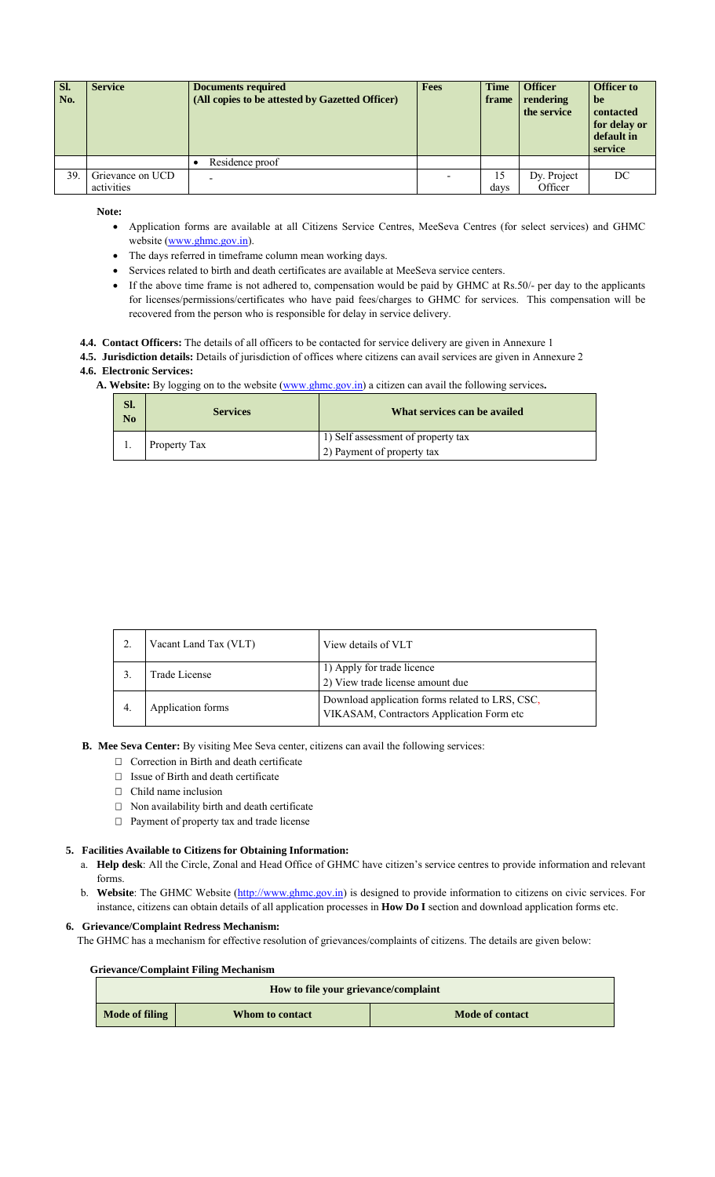| Sl.<br>No. | <b>Service</b>   | <b>Documents required</b><br>(All copies to be attested by Gazetted Officer) | <b>Fees</b> | <b>Time</b><br>frame | <b>Officer</b><br>rendering<br>the service | <b>Officer to</b><br>be<br>contacted<br>for delay or<br>default in<br>service |
|------------|------------------|------------------------------------------------------------------------------|-------------|----------------------|--------------------------------------------|-------------------------------------------------------------------------------|
|            |                  | Residence proof                                                              |             |                      |                                            |                                                                               |
| 39.        | Grievance on UCD | ۰                                                                            |             | 15                   | Dy. Project                                | DC                                                                            |
|            | activities       |                                                                              |             | days                 | Officer                                    |                                                                               |

**Note:**

- Application forms are available at all Citizens Service Centres, MeeSeva Centres (for select services) and GHMC website (www.ghmc.gov.in).
- The days referred in timeframe column mean working days.
- Services related to birth and death certificates are available at MeeSeva service centers.
- If the above time frame is not adhered to, compensation would be paid by GHMC at Rs.50/- per day to the applicants for licenses/permissions/certificates who have paid fees/charges to GHMC for services. This compensation will be recovered from the person who is responsible for delay in service delivery.
- **4.4. Contact Officers:** The details of all officers to be contacted for service delivery are given in Annexure 1
- **4.5. Jurisdiction details:** Details of jurisdiction of offices where citizens can avail services are given in Annexure 2 **4.6. Electronic Services:**
	- **A. Website:** By logging on to the website (www.ghmc.gov.in) a citizen can avail the following services**.**

| SI.<br>N <sub>0</sub> | <b>Services</b> | What services can be availed       |
|-----------------------|-----------------|------------------------------------|
|                       | Property Tax    | 1) Self assessment of property tax |
|                       |                 | 2) Payment of property tax         |

|    | Vacant Land Tax (VLT)                                                                                              | View details of VLT                                            |
|----|--------------------------------------------------------------------------------------------------------------------|----------------------------------------------------------------|
|    | Trade License                                                                                                      | 1) Apply for trade licence<br>2) View trade license amount due |
| 4. | Download application forms related to LRS, CSC,<br>Application forms<br>VIKASAM, Contractors Application Form etc. |                                                                |

- **B. Mee Seva Center:** By visiting Mee Seva center, citizens can avail the following services:
	- $\Box$  Correction in Birth and death certificate
	- $\Box$  Issue of Birth and death certificate
	- $\Box$  Child name inclusion
	- $\Box$  Non availability birth and death certificate
	- $\Box$  Payment of property tax and trade license

## **5. Facilities Available to Citizens for Obtaining Information:**

- a. **Help desk**: All the Circle, Zonal and Head Office of GHMC have citizen's service centres to provide information and relevant forms.
- b. **Website**: The GHMC Website (http://www.ghmc.gov.in) is designed to provide information to citizens on civic services. For instance, citizens can obtain details of all application processes in **How Do I** section and download application forms etc.

### **6. Grievance/Complaint Redress Mechanism:**

The GHMC has a mechanism for effective resolution of grievances/complaints of citizens. The details are given below:

## **Grievance/Complaint Filing Mechanism**

| How to file your grievance/complaint |                 |                 |  |  |
|--------------------------------------|-----------------|-----------------|--|--|
| Mode of filing                       | Whom to contact | Mode of contact |  |  |